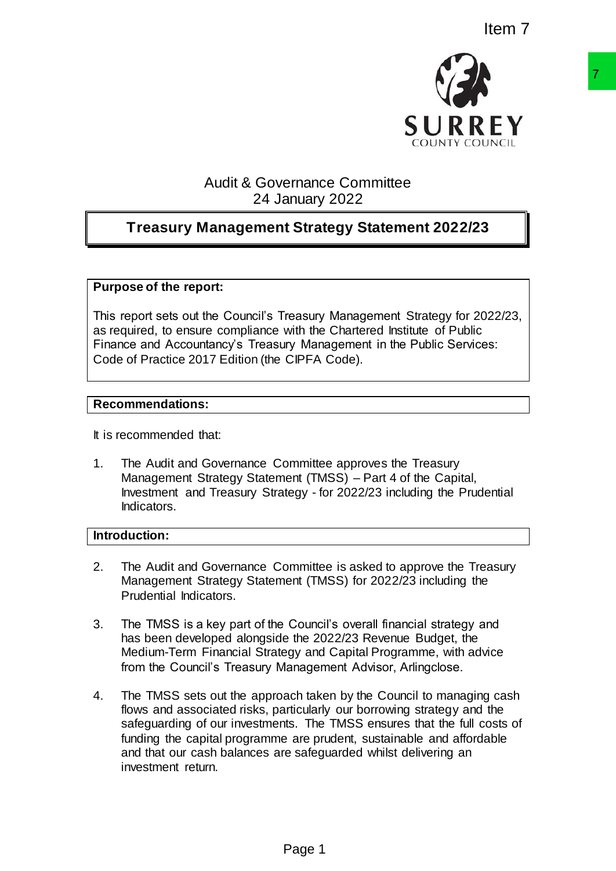

# Audit & Governance Committee 24 January 2022

# **Treasury Management Strategy Statement 2022/23**

#### **Purpose of the report:**

This report sets out the Council's Treasury Management Strategy for 2022/23, as required, to ensure compliance with the Chartered Institute of Public Finance and Accountancy's Treasury Management in the Public Services: Code of Practice 2017 Edition (the CIPFA Code).

#### **Recommendations:**

It is recommended that:

1. The Audit and Governance Committee approves the Treasury Management Strategy Statement (TMSS) – Part 4 of the Capital, Investment and Treasury Strategy - for 2022/23 including the Prudential Indicators.

### **Introduction:**

- 2. The Audit and Governance Committee is asked to approve the Treasury Management Strategy Statement (TMSS) for 2022/23 including the Prudential Indicators.
- 3. The TMSS is a key part of the Council's overall financial strategy and has been developed alongside the 2022/23 Revenue Budget, the Medium-Term Financial Strategy and Capital Programme, with advice from the Council's Treasury Management Advisor, Arlingclose.
- 4. The TMSS sets out the approach taken by the Council to managing cash flows and associated risks, particularly our borrowing strategy and the safeguarding of our investments. The TMSS ensures that the full costs of funding the capital programme are prudent, sustainable and affordable and that our cash balances are safeguarded whilst delivering an investment return. **SURREY**<br>
SURREY<br>
Framance Committee<br>
Framany 2022<br> **Exartegy Statement 2022/23**<br>
Transay Management Strategy for 2022/23<br>
With the Character Institute of Public<br>
CPFA Code).<br>
OPEA Code).<br>
CPFA Code).<br>
CPFA Code).<br>
<br>
Deman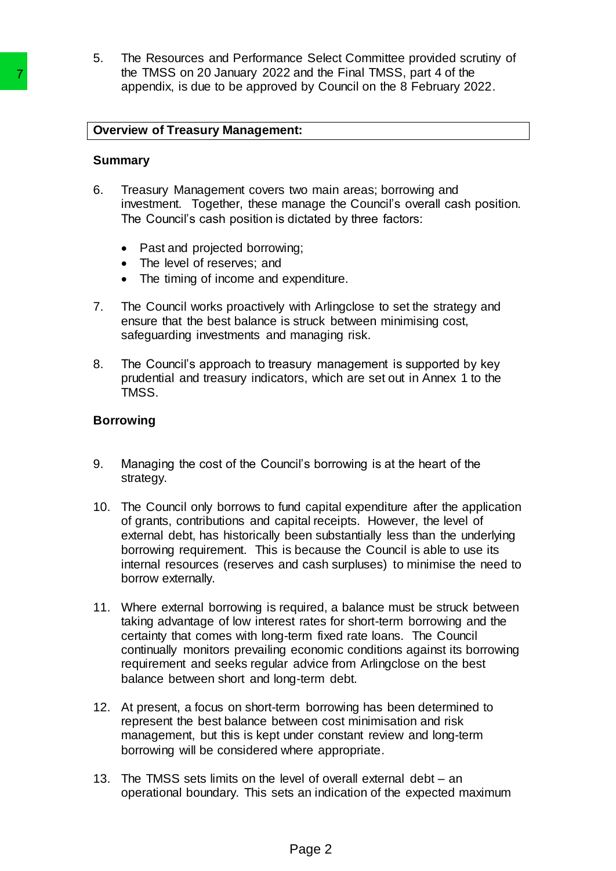5. The Resources and Performance Select Committee provided scrutiny of the TMSS on 20 January 2022 and the Final TMSS, part 4 of the appendix, is due to be approved by Council on the 8 February 2022.

# **Overview of Treasury Management:**

#### **Summary**

- 6. Treasury Management covers two main areas; borrowing and investment. Together, these manage the Council's overall cash position. The Council's cash position is dictated by three factors:
	- Past and projected borrowing;
	- The level of reserves; and
	- The timing of income and expenditure.
- 7. The Council works proactively with Arlingclose to set the strategy and ensure that the best balance is struck between minimising cost, safeguarding investments and managing risk.
- 8. The Council's approach to treasury management is supported by key prudential and treasury indicators, which are set out in Annex 1 to the TMSS.

### **Borrowing**

- 9. Managing the cost of the Council's borrowing is at the heart of the strategy.
- 10. The Council only borrows to fund capital expenditure after the application of grants, contributions and capital receipts. However, the level of external debt, has historically been substantially less than the underlying borrowing requirement. This is because the Council is able to use its internal resources (reserves and cash surpluses) to minimise the need to borrow externally. The IMSS on 20 January 2022 and the MSS on 20 January 2022 and the Norman Coverniew of Treasury Management:<br>
Summary<br>
6. Treasury Management covers two maintestment Together, these management<br>
The Council's cash position i
	- 11. Where external borrowing is required, a balance must be struck between taking advantage of low interest rates for short-term borrowing and the certainty that comes with long-term fixed rate loans. The Council continually monitors prevailing economic conditions against its borrowing requirement and seeks regular advice from Arlingclose on the best balance between short and long-term debt.
	- 12. At present, a focus on short-term borrowing has been determined to represent the best balance between cost minimisation and risk management, but this is kept under constant review and long-term borrowing will be considered where appropriate.
	- 13. The TMSS sets limits on the level of overall external debt an operational boundary. This sets an indication of the expected maximum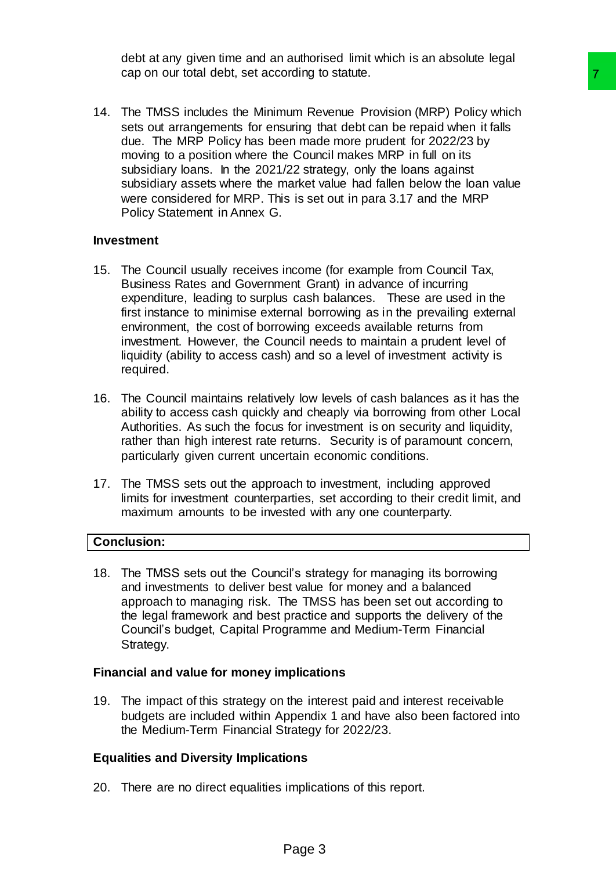debt at any given time and an authorised limit which is an absolute legal cap on our total debt, set according to statute.

14. The TMSS includes the Minimum Revenue Provision (MRP) Policy which sets out arrangements for ensuring that debt can be repaid when it falls due. The MRP Policy has been made more prudent for 2022/23 by moving to a position where the Council makes MRP in full on its subsidiary loans. In the 2021/22 strategy, only the loans against subsidiary assets where the market value had fallen below the loan value were considered for MRP. This is set out in para 3.17 and the MRP Policy Statement in Annex G. Training that details and the prejaint of the principle provided products are the present of the present of the conducts of the minimum that detail with a council makes MRP in full on its 222 strategy, only the boars again

### **Investment**

- 15. The Council usually receives income (for example from Council Tax, Business Rates and Government Grant) in advance of incurring expenditure, leading to surplus cash balances. These are used in the first instance to minimise external borrowing as in the prevailing external environment, the cost of borrowing exceeds available returns from investment. However, the Council needs to maintain a prudent level of liquidity (ability to access cash) and so a level of investment activity is required.
- 16. The Council maintains relatively low levels of cash balances as it has the ability to access cash quickly and cheaply via borrowing from other Local Authorities. As such the focus for investment is on security and liquidity, rather than high interest rate returns. Security is of paramount concern, particularly given current uncertain economic conditions.
- 17. The TMSS sets out the approach to investment, including approved limits for investment counterparties, set according to their credit limit, and maximum amounts to be invested with any one counterparty.

# **Conclusion:**

18. The TMSS sets out the Council's strategy for managing its borrowing and investments to deliver best value for money and a balanced approach to managing risk. The TMSS has been set out according to the legal framework and best practice and supports the delivery of the Council's budget, Capital Programme and Medium-Term Financial Strategy.

#### **Financial and value for money implications**

19. The impact of this strategy on the interest paid and interest receivable budgets are included within Appendix 1 and have also been factored into the Medium-Term Financial Strategy for 2022/23.

# **Equalities and Diversity Implications**

20. There are no direct equalities implications of this report.